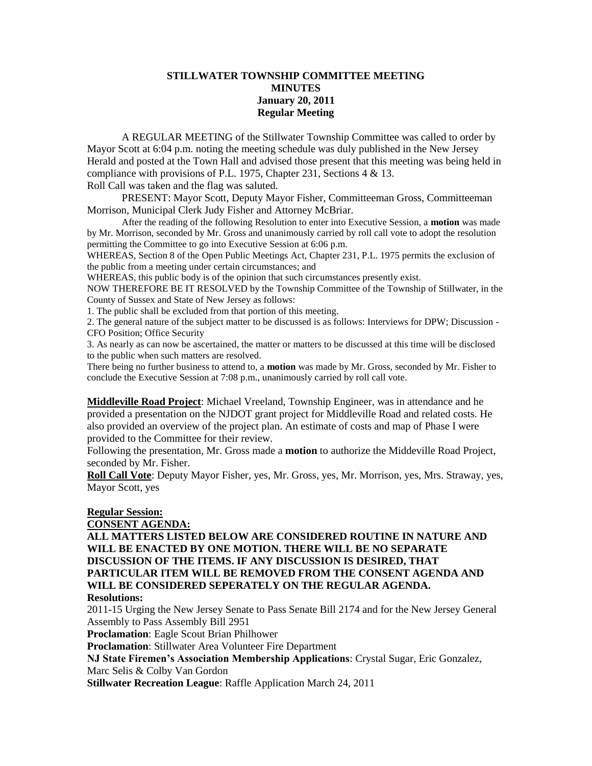## **STILLWATER TOWNSHIP COMMITTEE MEETING MINUTES January 20, 2011 Regular Meeting**

A REGULAR MEETING of the Stillwater Township Committee was called to order by Mayor Scott at 6:04 p.m. noting the meeting schedule was duly published in the New Jersey Herald and posted at the Town Hall and advised those present that this meeting was being held in compliance with provisions of P.L. 1975, Chapter 231, Sections 4 & 13. Roll Call was taken and the flag was saluted.

PRESENT: Mayor Scott, Deputy Mayor Fisher, Committeeman Gross, Committeeman Morrison, Municipal Clerk Judy Fisher and Attorney McBriar.

After the reading of the following Resolution to enter into Executive Session, a **motion** was made by Mr. Morrison, seconded by Mr. Gross and unanimously carried by roll call vote to adopt the resolution permitting the Committee to go into Executive Session at 6:06 p.m.

WHEREAS, Section 8 of the Open Public Meetings Act, Chapter 231, P.L. 1975 permits the exclusion of the public from a meeting under certain circumstances; and

WHEREAS, this public body is of the opinion that such circumstances presently exist.

NOW THEREFORE BE IT RESOLVED by the Township Committee of the Township of Stillwater, in the County of Sussex and State of New Jersey as follows:

1. The public shall be excluded from that portion of this meeting.

2. The general nature of the subject matter to be discussed is as follows: Interviews for DPW; Discussion - CFO Position; Office Security

3. As nearly as can now be ascertained, the matter or matters to be discussed at this time will be disclosed to the public when such matters are resolved.

There being no further business to attend to, a **motion** was made by Mr. Gross, seconded by Mr. Fisher to conclude the Executive Session at 7:08 p.m., unanimously carried by roll call vote.

**Middleville Road Project**: Michael Vreeland, Township Engineer, was in attendance and he provided a presentation on the NJDOT grant project for Middleville Road and related costs. He also provided an overview of the project plan. An estimate of costs and map of Phase I were provided to the Committee for their review.

Following the presentation, Mr. Gross made a **motion** to authorize the Middeville Road Project, seconded by Mr. Fisher.

**Roll Call Vote**: Deputy Mayor Fisher, yes, Mr. Gross, yes, Mr. Morrison, yes, Mrs. Straway, yes, Mayor Scott, yes

## **Regular Session:**

#### **CONSENT AGENDA:**

**ALL MATTERS LISTED BELOW ARE CONSIDERED ROUTINE IN NATURE AND WILL BE ENACTED BY ONE MOTION. THERE WILL BE NO SEPARATE DISCUSSION OF THE ITEMS. IF ANY DISCUSSION IS DESIRED, THAT PARTICULAR ITEM WILL BE REMOVED FROM THE CONSENT AGENDA AND WILL BE CONSIDERED SEPERATELY ON THE REGULAR AGENDA. Resolutions:**

2011-15 Urging the New Jersey Senate to Pass Senate Bill 2174 and for the New Jersey General Assembly to Pass Assembly Bill 2951

**Proclamation**: Eagle Scout Brian Philhower

**Proclamation**: Stillwater Area Volunteer Fire Department

**NJ State Firemen's Association Membership Applications**: Crystal Sugar, Eric Gonzalez, Marc Selis & Colby Van Gordon

**Stillwater Recreation League**: Raffle Application March 24, 2011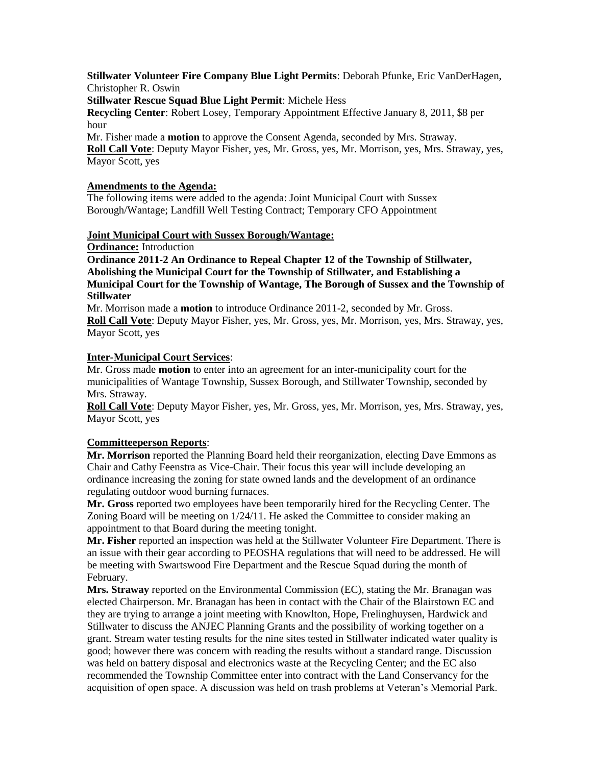## **Stillwater Volunteer Fire Company Blue Light Permits**: Deborah Pfunke, Eric VanDerHagen, Christopher R. Oswin

**Stillwater Rescue Squad Blue Light Permit**: Michele Hess

**Recycling Center**: Robert Losey, Temporary Appointment Effective January 8, 2011, \$8 per hour

Mr. Fisher made a **motion** to approve the Consent Agenda, seconded by Mrs. Straway. **Roll Call Vote**: Deputy Mayor Fisher, yes, Mr. Gross, yes, Mr. Morrison, yes, Mrs. Straway, yes, Mayor Scott, yes

## **Amendments to the Agenda:**

The following items were added to the agenda: Joint Municipal Court with Sussex Borough/Wantage; Landfill Well Testing Contract; Temporary CFO Appointment

## **Joint Municipal Court with Sussex Borough/Wantage:**

**Ordinance:** Introduction

**Ordinance 2011-2 An Ordinance to Repeal Chapter 12 of the Township of Stillwater, Abolishing the Municipal Court for the Township of Stillwater, and Establishing a Municipal Court for the Township of Wantage, The Borough of Sussex and the Township of Stillwater**

Mr. Morrison made a **motion** to introduce Ordinance 2011-2, seconded by Mr. Gross. **Roll Call Vote**: Deputy Mayor Fisher, yes, Mr. Gross, yes, Mr. Morrison, yes, Mrs. Straway, yes, Mayor Scott, yes

## **Inter-Municipal Court Services**:

Mr. Gross made **motion** to enter into an agreement for an inter-municipality court for the municipalities of Wantage Township, Sussex Borough, and Stillwater Township, seconded by Mrs. Straway.

**Roll Call Vote**: Deputy Mayor Fisher, yes, Mr. Gross, yes, Mr. Morrison, yes, Mrs. Straway, yes, Mayor Scott, yes

# **Committeeperson Reports**:

**Mr. Morrison** reported the Planning Board held their reorganization, electing Dave Emmons as Chair and Cathy Feenstra as Vice-Chair. Their focus this year will include developing an ordinance increasing the zoning for state owned lands and the development of an ordinance regulating outdoor wood burning furnaces.

**Mr. Gross** reported two employees have been temporarily hired for the Recycling Center. The Zoning Board will be meeting on 1/24/11. He asked the Committee to consider making an appointment to that Board during the meeting tonight.

**Mr. Fisher** reported an inspection was held at the Stillwater Volunteer Fire Department. There is an issue with their gear according to PEOSHA regulations that will need to be addressed. He will be meeting with Swartswood Fire Department and the Rescue Squad during the month of February.

**Mrs. Straway** reported on the Environmental Commission (EC), stating the Mr. Branagan was elected Chairperson. Mr. Branagan has been in contact with the Chair of the Blairstown EC and they are trying to arrange a joint meeting with Knowlton, Hope, Frelinghuysen, Hardwick and Stillwater to discuss the ANJEC Planning Grants and the possibility of working together on a grant. Stream water testing results for the nine sites tested in Stillwater indicated water quality is good; however there was concern with reading the results without a standard range. Discussion was held on battery disposal and electronics waste at the Recycling Center; and the EC also recommended the Township Committee enter into contract with the Land Conservancy for the acquisition of open space. A discussion was held on trash problems at Veteran's Memorial Park.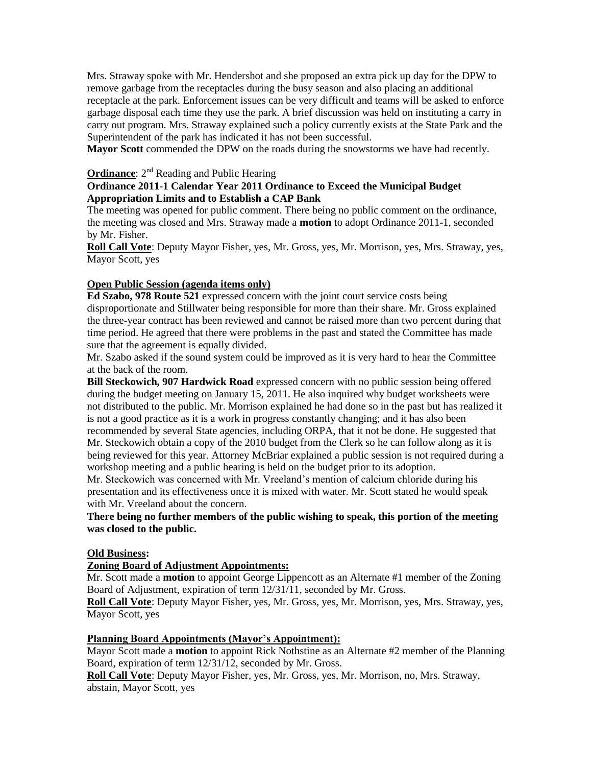Mrs. Straway spoke with Mr. Hendershot and she proposed an extra pick up day for the DPW to remove garbage from the receptacles during the busy season and also placing an additional receptacle at the park. Enforcement issues can be very difficult and teams will be asked to enforce garbage disposal each time they use the park. A brief discussion was held on instituting a carry in carry out program. Mrs. Straway explained such a policy currently exists at the State Park and the Superintendent of the park has indicated it has not been successful.

**Mayor Scott** commended the DPW on the roads during the snowstorms we have had recently.

## **Ordinance**: 2<sup>nd</sup> Reading and Public Hearing

## **Ordinance 2011-1 Calendar Year 2011 Ordinance to Exceed the Municipal Budget Appropriation Limits and to Establish a CAP Bank**

The meeting was opened for public comment. There being no public comment on the ordinance, the meeting was closed and Mrs. Straway made a **motion** to adopt Ordinance 2011-1, seconded by Mr. Fisher.

**Roll Call Vote**: Deputy Mayor Fisher, yes, Mr. Gross, yes, Mr. Morrison, yes, Mrs. Straway, yes, Mayor Scott, yes

### **Open Public Session (agenda items only)**

**Ed Szabo, 978 Route 521** expressed concern with the joint court service costs being disproportionate and Stillwater being responsible for more than their share. Mr. Gross explained the three-year contract has been reviewed and cannot be raised more than two percent during that time period. He agreed that there were problems in the past and stated the Committee has made sure that the agreement is equally divided.

Mr. Szabo asked if the sound system could be improved as it is very hard to hear the Committee at the back of the room.

**Bill Steckowich, 907 Hardwick Road** expressed concern with no public session being offered during the budget meeting on January 15, 2011. He also inquired why budget worksheets were not distributed to the public. Mr. Morrison explained he had done so in the past but has realized it is not a good practice as it is a work in progress constantly changing; and it has also been recommended by several State agencies, including ORPA, that it not be done. He suggested that Mr. Steckowich obtain a copy of the 2010 budget from the Clerk so he can follow along as it is being reviewed for this year. Attorney McBriar explained a public session is not required during a workshop meeting and a public hearing is held on the budget prior to its adoption.

Mr. Steckowich was concerned with Mr. Vreeland's mention of calcium chloride during his presentation and its effectiveness once it is mixed with water. Mr. Scott stated he would speak with Mr. Vreeland about the concern.

## **There being no further members of the public wishing to speak, this portion of the meeting was closed to the public.**

#### **Old Business:**

#### **Zoning Board of Adjustment Appointments:**

Mr. Scott made a **motion** to appoint George Lippencott as an Alternate #1 member of the Zoning Board of Adjustment, expiration of term 12/31/11, seconded by Mr. Gross.

**Roll Call Vote**: Deputy Mayor Fisher, yes, Mr. Gross, yes, Mr. Morrison, yes, Mrs. Straway, yes, Mayor Scott, yes

#### **Planning Board Appointments (Mayor's Appointment):**

Mayor Scott made a **motion** to appoint Rick Nothstine as an Alternate #2 member of the Planning Board, expiration of term 12/31/12, seconded by Mr. Gross.

**Roll Call Vote**: Deputy Mayor Fisher, yes, Mr. Gross, yes, Mr. Morrison, no, Mrs. Straway, abstain, Mayor Scott, yes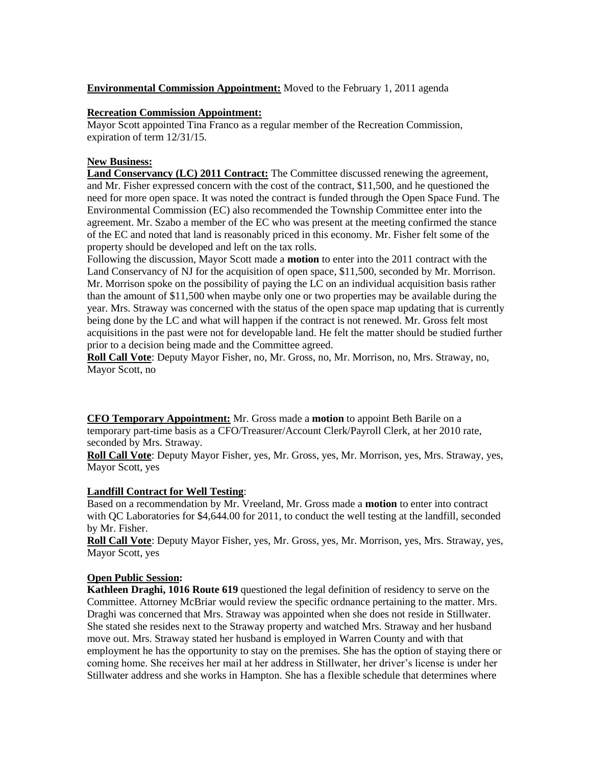# **Environmental Commission Appointment:** Moved to the February 1, 2011 agenda

## **Recreation Commission Appointment:**

Mayor Scott appointed Tina Franco as a regular member of the Recreation Commission, expiration of term 12/31/15.

# **New Business:**

**Land Conservancy (LC) 2011 Contract:** The Committee discussed renewing the agreement, and Mr. Fisher expressed concern with the cost of the contract, \$11,500, and he questioned the need for more open space. It was noted the contract is funded through the Open Space Fund. The Environmental Commission (EC) also recommended the Township Committee enter into the agreement. Mr. Szabo a member of the EC who was present at the meeting confirmed the stance of the EC and noted that land is reasonably priced in this economy. Mr. Fisher felt some of the property should be developed and left on the tax rolls.

Following the discussion, Mayor Scott made a **motion** to enter into the 2011 contract with the Land Conservancy of NJ for the acquisition of open space, \$11,500, seconded by Mr. Morrison. Mr. Morrison spoke on the possibility of paying the LC on an individual acquisition basis rather than the amount of \$11,500 when maybe only one or two properties may be available during the year. Mrs. Straway was concerned with the status of the open space map updating that is currently being done by the LC and what will happen if the contract is not renewed. Mr. Gross felt most acquisitions in the past were not for developable land. He felt the matter should be studied further prior to a decision being made and the Committee agreed.

**Roll Call Vote**: Deputy Mayor Fisher, no, Mr. Gross, no, Mr. Morrison, no, Mrs. Straway, no, Mayor Scott, no

**CFO Temporary Appointment:** Mr. Gross made a **motion** to appoint Beth Barile on a temporary part-time basis as a CFO/Treasurer/Account Clerk/Payroll Clerk, at her 2010 rate, seconded by Mrs. Straway.

**Roll Call Vote**: Deputy Mayor Fisher, yes, Mr. Gross, yes, Mr. Morrison, yes, Mrs. Straway, yes, Mayor Scott, yes

# **Landfill Contract for Well Testing**:

Based on a recommendation by Mr. Vreeland, Mr. Gross made a **motion** to enter into contract with QC Laboratories for \$4,644.00 for 2011, to conduct the well testing at the landfill, seconded by Mr. Fisher.

**Roll Call Vote**: Deputy Mayor Fisher, yes, Mr. Gross, yes, Mr. Morrison, yes, Mrs. Straway, yes, Mayor Scott, yes

# **Open Public Session:**

**Kathleen Draghi, 1016 Route 619** questioned the legal definition of residency to serve on the Committee. Attorney McBriar would review the specific ordnance pertaining to the matter. Mrs. Draghi was concerned that Mrs. Straway was appointed when she does not reside in Stillwater. She stated she resides next to the Straway property and watched Mrs. Straway and her husband move out. Mrs. Straway stated her husband is employed in Warren County and with that employment he has the opportunity to stay on the premises. She has the option of staying there or coming home. She receives her mail at her address in Stillwater, her driver's license is under her Stillwater address and she works in Hampton. She has a flexible schedule that determines where